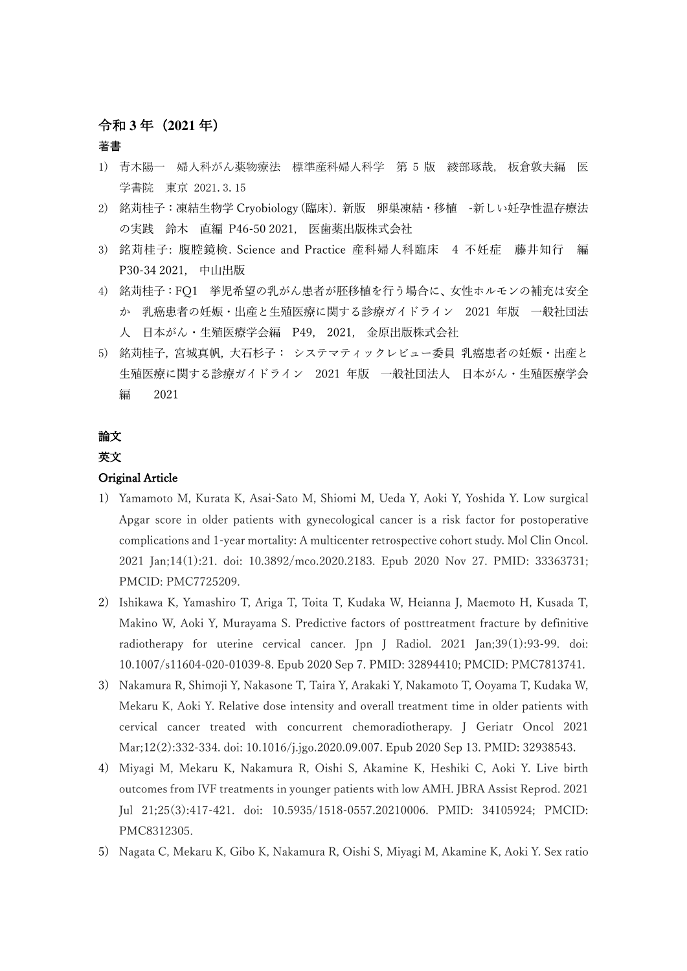## 令和 **3** 年(**2021** 年)

#### 著書

- 1) 青木陽一 婦人科がん薬物療法 標準産科婦人科学 第 5 版 綾部琢哉, 板倉敦夫編 医 学書院 東京 2021.3.15
- 2) 銘苅桂⼦:凍結⽣物学 Cryobiology (臨床). 新版 卵巣凍結・移植 -新しい妊孕性温存療法 の実践 鈴木 直編 P46-50 2021, 医歯薬出版株式会社
- 3) 銘苅桂子: 腹腔鏡検. Science and Practice 産科婦人科臨床 4 不妊症 藤井知行 編 P30-34 2021, 中山出版
- 4) 銘苅桂子:FQ1 挙児希望の乳がん患者が胚移植を行う場合に、女性ホルモンの補充は安全 か 乳癌患者の妊娠・出産と生殖医療に関する診療ガイドライン 2021 年版 一般社団法 ⼈ ⽇本がん・⽣殖医療学会編 P49, 2021, ⾦原出版株式会社
- 5) 銘苅桂子, 宮城真帆, 大石杉子: システマティックレビュー委員 乳癌患者の妊娠・出産と 生殖医療に関する診療ガイドライン 2021 年版 一般社団法人 日本がん・生殖医療学会 編 2021

# 論文

## 英⽂

### Original Article

- 1) Yamamoto M, Kurata K, Asai-Sato M, Shiomi M, Ueda Y, Aoki Y, Yoshida Y. Low surgical Apgar score in older patients with gynecological cancer is a risk factor for postoperative complications and 1-year mortality: A multicenter retrospective cohort study. Mol Clin Oncol. 2021 Jan;14(1):21. doi: 10.3892/mco.2020.2183. Epub 2020 Nov 27. PMID: 33363731; PMCID: PMC7725209.
- 2) Ishikawa K, Yamashiro T, Ariga T, Toita T, Kudaka W, Heianna J, Maemoto H, Kusada T, Makino W, Aoki Y, Murayama S. Predictive factors of posttreatment fracture by definitive radiotherapy for uterine cervical cancer. Jpn J Radiol. 2021 Jan;39(1):93-99. doi: 10.1007/s11604-020-01039-8. Epub 2020 Sep 7. PMID: 32894410; PMCID: PMC7813741.
- 3) Nakamura R, Shimoji Y, Nakasone T, Taira Y, Arakaki Y, Nakamoto T, Ooyama T, Kudaka W, Mekaru K, Aoki Y. Relative dose intensity and overall treatment time in older patients with cervical cancer treated with concurrent chemoradiotherapy. J Geriatr Oncol 2021 Mar;12(2):332-334. doi: 10.1016/j.jgo.2020.09.007. Epub 2020 Sep 13. PMID: 32938543.
- 4) Miyagi M, Mekaru K, Nakamura R, Oishi S, Akamine K, Heshiki C, Aoki Y. Live birth outcomes from IVF treatments in younger patients with low AMH. JBRA Assist Reprod. 2021 Jul 21;25(3):417-421. doi: 10.5935/1518-0557.20210006. PMID: 34105924; PMCID: PMC8312305.
- 5) Nagata C, Mekaru K, Gibo K, Nakamura R, Oishi S, Miyagi M, Akamine K, Aoki Y. Sex ratio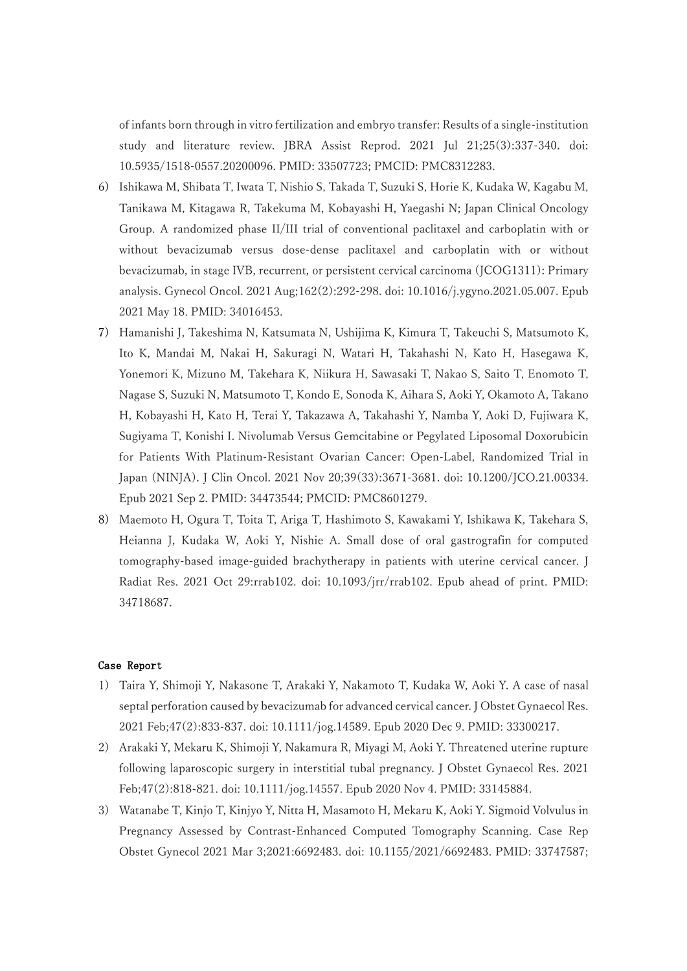of infants born through in vitro fertilization and embryo transfer: Results of a single-institution study and literature review. JBRA Assist Reprod. 2021 Jul 21;25(3):337-340. doi: 10.5935/1518-0557.20200096. PMID: 33507723; PMCID: PMC8312283.

- 6) Ishikawa M, Shibata T, Iwata T, Nishio S, Takada T, Suzuki S, Horie K, Kudaka W, Kagabu M, Tanikawa M, Kitagawa R, Takekuma M, Kobayashi H, Yaegashi N; Japan Clinical Oncology Group. A randomized phase II/III trial of conventional paclitaxel and carboplatin with or without bevacizumab versus dose-dense paclitaxel and carboplatin with or without bevacizumab, in stage IVB, recurrent, or persistent cervical carcinoma (JCOG1311): Primary analysis. Gynecol Oncol. 2021 Aug;162(2):292-298. doi: 10.1016/j.ygyno.2021.05.007. Epub 2021 May 18. PMID: 34016453.
- 7) Hamanishi J, Takeshima N, Katsumata N, Ushijima K, Kimura T, Takeuchi S, Matsumoto K, Ito K, Mandai M, Nakai H, Sakuragi N, Watari H, Takahashi N, Kato H, Hasegawa K, Yonemori K, Mizuno M, Takehara K, Niikura H, Sawasaki T, Nakao S, Saito T, Enomoto T, Nagase S, Suzuki N, Matsumoto T, Kondo E, Sonoda K, Aihara S, Aoki Y, Okamoto A, Takano H, Kobayashi H, Kato H, Terai Y, Takazawa A, Takahashi Y, Namba Y, Aoki D, Fujiwara K, Sugiyama T, Konishi I. Nivolumab Versus Gemcitabine or Pegylated Liposomal Doxorubicin for Patients With Platinum-Resistant Ovarian Cancer: Open-Label, Randomized Trial in Japan (NINJA). J Clin Oncol. 2021 Nov 20;39(33):3671-3681. doi: 10.1200/JCO.21.00334. Epub 2021 Sep 2. PMID: 34473544; PMCID: PMC8601279.
- 8) Maemoto H, Ogura T, Toita T, Ariga T, Hashimoto S, Kawakami Y, Ishikawa K, Takehara S, Heianna J, Kudaka W, Aoki Y, Nishie A. Small dose of oral gastrografin for computed tomography-based image-guided brachytherapy in patients with uterine cervical cancer. J Radiat Res. 2021 Oct 29:rrab102. doi: 10.1093/jrr/rrab102. Epub ahead of print. PMID: 34718687.

#### Case Report

- 1) Taira Y, Shimoji Y, Nakasone T, Arakaki Y, Nakamoto T, Kudaka W, Aoki Y. A case of nasal septal perforation caused by bevacizumab for advanced cervical cancer. J Obstet Gynaecol Res. 2021 Feb;47(2):833-837. doi: 10.1111/jog.14589. Epub 2020 Dec 9. PMID: 33300217.
- 2) Arakaki Y, Mekaru K, Shimoji Y, Nakamura R, Miyagi M, Aoki Y. Threatened uterine rupture following laparoscopic surgery in interstitial tubal pregnancy. J Obstet Gynaecol Res. 2021 Feb;47(2):818-821. doi: 10.1111/jog.14557. Epub 2020 Nov 4. PMID: 33145884.
- 3) Watanabe T, Kinjo T, Kinjyo Y, Nitta H, Masamoto H, Mekaru K, Aoki Y. Sigmoid Volvulus in Pregnancy Assessed by Contrast-Enhanced Computed Tomography Scanning. Case Rep Obstet Gynecol 2021 Mar 3;2021:6692483. doi: 10.1155/2021/6692483. PMID: 33747587;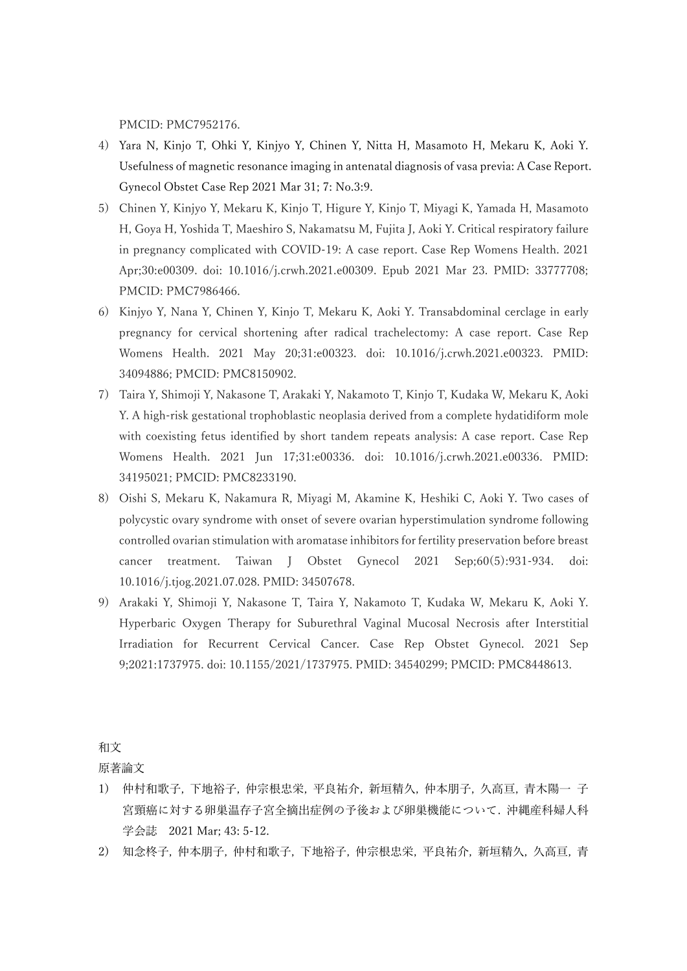PMCID: PMC7952176.

- 4) Yara N, Kinjo T, Ohki Y, Kinjyo Y, Chinen Y, Nitta H, Masamoto H, Mekaru K, Aoki Y. Usefulness of magnetic resonance imaging in antenatal diagnosis of vasa previa: A Case Report. Gynecol Obstet Case Rep 2021 Mar 31; 7: No.3:9.
- 5) Chinen Y, Kinjyo Y, Mekaru K, Kinjo T, Higure Y, Kinjo T, Miyagi K, Yamada H, Masamoto H, Goya H, Yoshida T, Maeshiro S, Nakamatsu M, Fujita J, Aoki Y. Critical respiratory failure in pregnancy complicated with COVID-19: A case report. Case Rep Womens Health. 2021 Apr;30:e00309. doi: 10.1016/j.crwh.2021.e00309. Epub 2021 Mar 23. PMID: 33777708; PMCID: PMC7986466.
- 6) Kinjyo Y, Nana Y, Chinen Y, Kinjo T, Mekaru K, Aoki Y. Transabdominal cerclage in early pregnancy for cervical shortening after radical trachelectomy: A case report. Case Rep Womens Health. 2021 May 20;31:e00323. doi: 10.1016/j.crwh.2021.e00323. PMID: 34094886; PMCID: PMC8150902.
- 7) Taira Y, Shimoji Y, Nakasone T, Arakaki Y, Nakamoto T, Kinjo T, Kudaka W, Mekaru K, Aoki Y. A high-risk gestational trophoblastic neoplasia derived from a complete hydatidiform mole with coexisting fetus identified by short tandem repeats analysis: A case report. Case Rep Womens Health. 2021 Jun 17;31:e00336. doi: 10.1016/j.crwh.2021.e00336. PMID: 34195021; PMCID: PMC8233190.
- 8) Oishi S, Mekaru K, Nakamura R, Miyagi M, Akamine K, Heshiki C, Aoki Y. Two cases of polycystic ovary syndrome with onset of severe ovarian hyperstimulation syndrome following controlled ovarian stimulation with aromatase inhibitors for fertility preservation before breast cancer treatment. Taiwan J Obstet Gynecol 2021 Sep;60(5):931-934. doi: 10.1016/j.tjog.2021.07.028. PMID: 34507678.
- 9) Arakaki Y, Shimoji Y, Nakasone T, Taira Y, Nakamoto T, Kudaka W, Mekaru K, Aoki Y. Hyperbaric Oxygen Therapy for Suburethral Vaginal Mucosal Necrosis after Interstitial Irradiation for Recurrent Cervical Cancer. Case Rep Obstet Gynecol. 2021 Sep 9;2021:1737975. doi: 10.1155/2021/1737975. PMID: 34540299; PMCID: PMC8448613.

### 和文

原著論⽂

- 1) 仲村和歌子, 下地裕子, 仲宗根忠栄, 平良祐介, 新垣精久, 仲本朋子, 久高亘, 青木陽一 子 宮頸癌に対する卵巣温存子宮全摘出症例の予後および卵巣機能について. 沖縄産科婦人科 学会誌 2021 Mar; 43: 5-12.
- 2) 知念柊子, 仲本朋子, 仲村和歌子, 下地裕子, 仲宗根忠栄, 平良祐介, 新垣精久, 久高亘, 青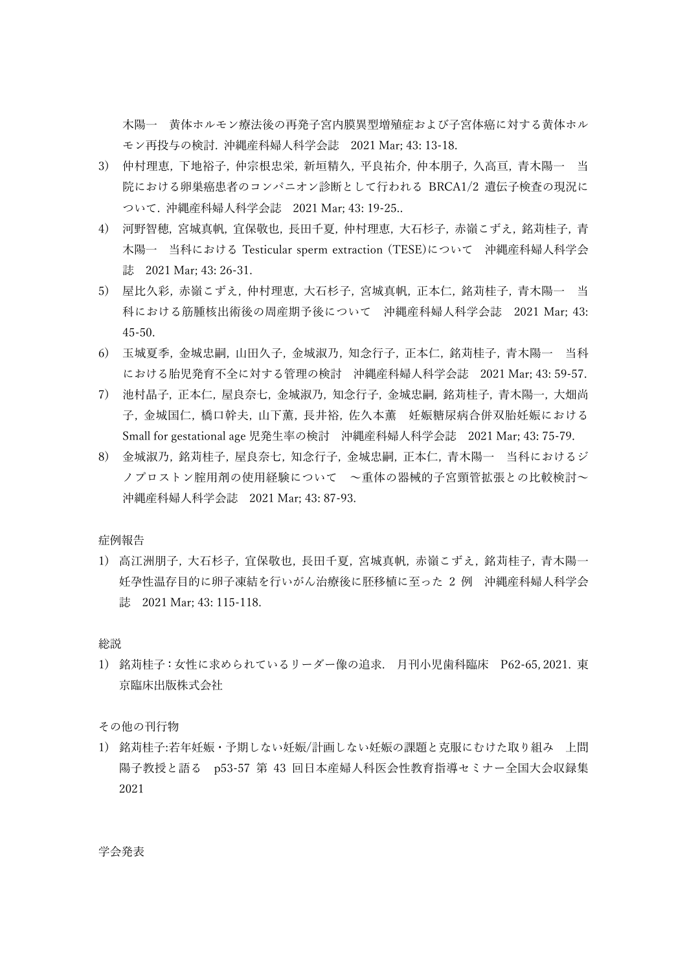木陽一 黄体ホルモン療法後の再発子宮内膜異型増殖症および子宮体癌に対する黄体ホル モン再投与の検討. 沖縄産科婦⼈科学会誌 2021 Mar; 43: 13-18.

- 3) 仲村理恵, 下地裕子, 仲宗根忠栄, 新垣精久, 平良祐介, 仲本朋子, 久高亘, 青木陽一 当 院における卵巣癌患者のコンパニオン診断として行われる BRCA1/2 遺伝子検査の現況に ついて. 沖縄産科婦⼈科学会誌 2021 Mar; 43: 19-25..
- 4) 河野智穂, 宮城真帆, 宜保敬也, 長田千夏, 仲村理恵, 大石杉子, 赤嶺こずえ, 銘苅桂子, 青 木陽一 当科における Testicular sperm extraction (TESE)について 沖縄産科婦人科学会 誌 2021 Mar; 43: 26-31.
- 5) 屋比久彩, 赤嶺こずえ, 仲村理恵, 大石杉子, 宮城真帆, 正本仁, 銘苅桂子, 青木陽一 科における筋腫核出術後の周産期予後について 沖縄産科婦⼈科学会誌 2021 Mar; 43: 45-50.
- 6) 玉城夏季, 金城忠嗣, 山田久子, 金城淑乃, 知念行子, 正本仁, 銘苅桂子, 青木陽一 当科 における胎児発育不全に対する管理の検討 沖縄産科婦⼈科学会誌 2021 Mar; 43: 59-57.
- 7) 池村晶子, 正本仁, 屋良奈七, 金城淑乃, 知念行子, 金城忠嗣, 銘苅桂子, 青木陽一, 大畑尚 子, 金城国仁, 橋口幹夫, 山下薫, 長井裕, 佐久本薫 妊娠糖尿病合併双胎妊娠における Small for gestational age 児発⽣率の検討 沖縄産科婦⼈科学会誌 2021 Mar; 43: 75-79.
- 8) ⾦城淑乃, 銘苅桂⼦, 屋良奈七, 知念⾏⼦, ⾦城忠嗣, 正本仁, ⻘⽊陽⼀ 当科におけるジ ノプロストン腟用剤の使用経験について 〜重体の器械的子宮頸管拡張との比較検討〜 沖縄産科婦⼈科学会誌 2021 Mar; 43: 87-93.

症例報告

1) 高江洲朋子, 大石杉子, 宜保敬也, 長田千夏, 宮城真帆, 赤嶺こずえ, 銘苅桂子, 青木陽一 妊孕性温存目的に卵子凍結を行いがん治療後に胚移植に至った 2 例 沖縄産科婦人科学会 誌 2021 Mar; 43: 115-118.

総説

1) 銘苅桂⼦:⼥性に求められているリーダー像の追求. ⽉刊⼩児⻭科臨床 P62-65, 2021. 東 京臨床出版株式会社

その他の刊行物

1) 銘苅桂⼦:若年妊娠・予期しない妊娠/計画しない妊娠の課題と克服にむけた取り組み 上間 陽子教授と語る p53-57 第 43 回日本産婦人科医会性教育指導セミナー全国大会収録集 2021

学会発表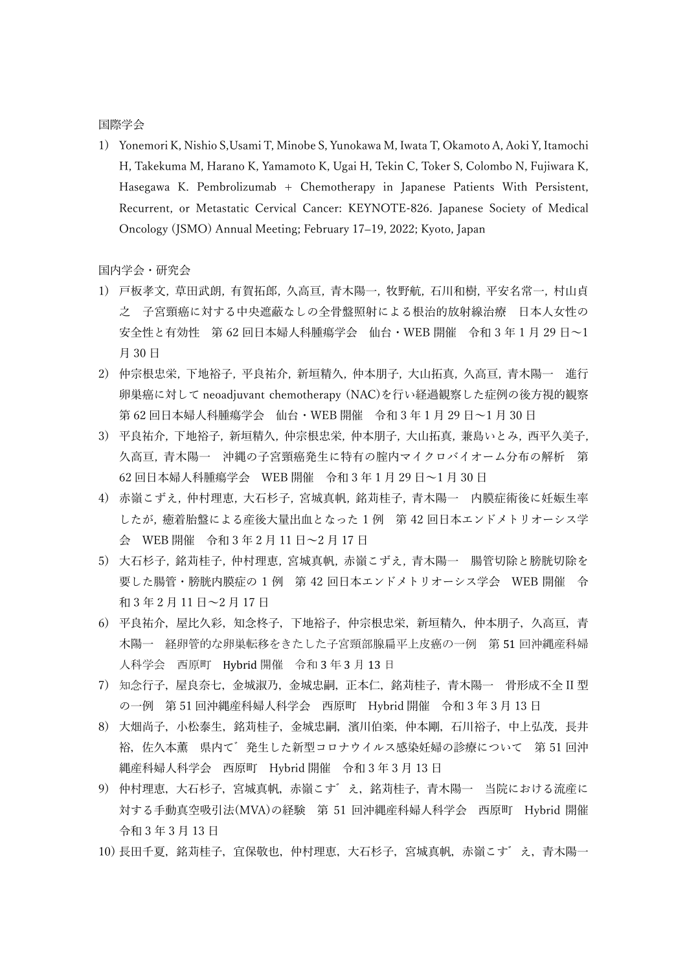#### 国際学会

1) Yonemori K, Nishio S,Usami T, Minobe S, Yunokawa M, Iwata T, Okamoto A, Aoki Y, Itamochi H, Takekuma M, Harano K, Yamamoto K, Ugai H, Tekin C, Toker S, Colombo N, Fujiwara K, Hasegawa K. Pembrolizumab + Chemotherapy in Japanese Patients With Persistent, Recurrent, or Metastatic Cervical Cancer: KEYNOTE-826. Japanese Society of Medical Oncology (JSMO) Annual Meeting; February 17-19, 2022; Kyoto, Japan

国内学会・研究会

- 1) 戸板孝文, 草田武朗, 有賀拓郎, 久高亘, 青木陽一, 牧野航, 石川和樹, 平安名常一, 村山貞 之 子宮頸癌に対する中央遮蔽なしの全骨盤照射による根治的放射線治療 日本人女性の 安全性と有効性 第 62 回日本婦人科腫瘍学会 仙台・WEB 開催 令和 3 年 1 月 29 日~1 月 30日
- 2) 仲宗根忠栄, 下地裕子, 平良祐介, 新垣精久, 仲本朋子, 大山拓真, 久高亘, 青木陽一 進行 卵巣癌に対して neoadjuvant chemotherapy (NAC)を行い経過観察した症例の後方視的観察 第 62 回日本婦人科腫瘍学会 仙台·WEB 開催 令和 3 年 1 月 29 日~1 月 30 日
- 3)平良祐介, 下地裕子, 新垣精久, 仲宗根忠栄, 仲本朋子, 大山拓真, 兼島いとみ, 西平久美子, 久高亘, 青木陽一 沖縄の子宮頸癌発生に特有の腟内マイクロバイオーム分布の解析 第 62 回日本婦人科腫瘍学会 WEB 開催 令和 3 年 1 月 29 日∼1 月 30 日
- 4) 赤嶺こずえ, 仲村理恵, 大石杉子, 宮城真帆, 銘苅桂子, 青木陽一 内膜症術後に妊娠生率 したが, 癒着胎盤による産後大量出血となった 1 例 第 42 回日本エンドメトリオーシス学 会 WEB 開催 令和 3 年 2 月 11 日∼2 月 17 日
- 5) 大石杉子, 銘苅桂子, 仲村理恵, 宮城真帆, 赤嶺こずえ, 青木陽一 腸管切除と膀胱切除を 要した腸管・膀胱内膜症の 1 例 第 42 回日本エンドメトリオーシス学会 WEB 開催 令 和 3年 2月 11 日~2月 17日
- 6) 平良祐介, 屋比久彩, 知念柊子, 下地裕子, 仲宗根忠栄, 新垣精久, 仲本朋子, 久高亘, 青 木陽一 経卵管的な卵巣転移をきたした子宮頸部腺扁平上皮癌の一例 第51回沖縄産科婦 人科学会 西原町 Hybrid 開催 令和 3 年 3 月 13 日
- 7) 知念行子,屋良奈七,金城淑乃,金城忠嗣,正本仁,銘苅桂子,青木陽一 骨形成不全 II 型 の一例 第 51 回沖縄産科婦人科学会 西原町 Hybrid 開催 令和 3 年 3 月 13 日
- 8) 大畑尚子,小松泰生,銘苅桂子,金城忠嗣,濱川伯楽,仲本剛,石川裕子,中上弘茂,長井 裕, 佐久本薫 県内て 発生した新型コロナウイルス感染妊婦の診療について 第 51 回沖 縄産科婦人科学会 西原町 Hybrid 開催 令和 3 年 3 月 13 日
- 9) 仲村理恵,大石杉子,宮城真帆,赤嶺こす゛え,銘苅桂子,青木陽一 当院における流産に 対する手動真空吸引法(MVA)の経験 第 51 回沖縄産科婦人科学会 西原町 Hybrid 開催 令和 3 年 3 ⽉ 13 ⽇
- 10) 長田千夏, 銘苅桂子, 宜保敬也, 仲村理恵, 大石杉子, 宮城真帆, 赤嶺こす゛え, 青木陽一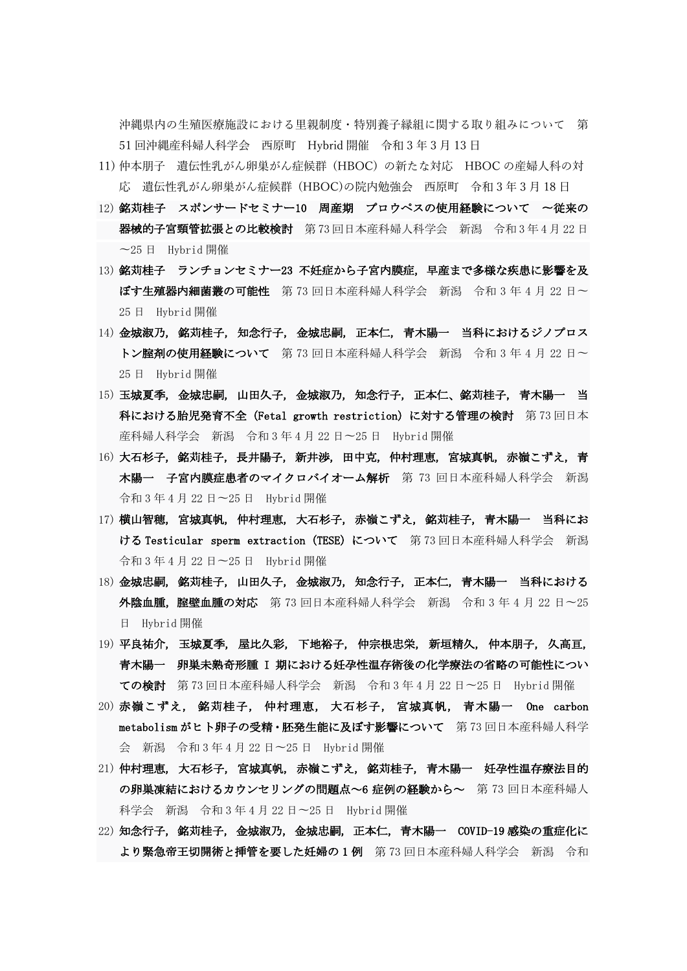沖縄県内の生殖医療施設における里親制度・特別養子縁組に関する取り組みについて 第  $51$  回沖縄産科婦人科学会 西原町 Hybrid 開催 令和 3 年 3 月 13 日

- 11) 仲本朋⼦ 遺伝性乳がん卵巣がん症候群 (HBOC) の新たな対応 HBOC の産婦⼈科の対 応 遺伝性乳がん卵巣がん症候群 (HBOC)の院内勉強会 西原町 令和 3 年 3 月 18 日
- 12) 銘苅桂子 スポンサードセミナー10 周産期 プロウペスの使用経験について 〜従来の 器械的子宮頸管拡張との比較検討 第73回日本産科婦人科学会 新潟 令和3年4月22日 〜25 日 Hybrid 開催
- 13) 銘苅桂子 ランチョンセミナー23 不妊症から子宮内膜症, 早産まで多様な疾患に影響を及 ぼす生殖器内細菌叢の可能性 第 73 回日本産科婦人科学会 新潟 令和 3 年 4 月 22 日〜 25 日 Hybrid 開催
- 14) 金城淑乃, 銘苅桂子, 知念行子, 金城忠嗣, 正本仁, 青木陽一 当科におけるジノプロス トン腟剤の使用経験について 第 73 回日本産科婦人科学会 新潟 令和 3 年 4 月 22 日~ 25 日 Hybrid 開催
- 15) 玉城夏季, 金城忠嗣, 山田久子, 金城淑乃, 知念行子, 正本仁、銘苅桂子, 青木陽一 当 科における胎児発育不全(Fetal growth restriction)に対する管理の検討 第 73 回日本 産科婦人科学会 新潟 令和 3 年 4 月 22 日〜25 日 Hybrid 開催
- 16) 大石杉子, 銘苅桂子, 長井陽子, 新井渉, 田中克, 仲村理恵, 宮城真帆, 赤嶺こずえ, 青 木陽一 子宮内膜症患者のマイクロバイオーム解析 第 73 回日本産科婦人科学会 新潟 令和 3 年 4 月 22 日〜25 日 Hybrid 開催
- 17) 横山智穂, 宮城真帆, 仲村理恵, 大石杉子, 赤嶺こずえ, 銘苅桂子, 青木陽一 当科にお ける Testicular sperm extraction (TESE) について 第 73 回日本産科婦人科学会 新潟 令和 3 年 4 月 22 日〜25 日 Hybrid 開催
- 18) 金城忠嗣, 銘苅桂子, 山田久子, 金城淑乃, 知念行子, 正本仁, 青木陽一 当科における 外陰血腫, 腟壁血腫の対応 第 73 回日本産科婦人科学会 新潟 令和 3 年 4 月 22 日~25 日 Hybrid 開催
- 19) 平良祐介, 玉城夏季, 屋比久彩, 下地裕子, 仲宗根忠栄, 新垣精久, 仲本朋子, 久高亘, 青木陽一 卵巣未熟奇形腫 I 期における妊孕性温存術後の化学療法の省略の可能性につい ての検討 第 73 回日本産科婦人科学会 新潟 令和 3 年 4 月 22 日〜25 日 Hybrid 開催
- 20) 赤嶺こずえ, 銘苅桂子, 仲村理恵, 大石杉子, 宮城真帆, 青木陽一 One carbon metabolism がヒト卵子の受精・胚発生能に及ぼす影響について 第 73 回日本産科婦人科学 会 新潟 令和 3 年 4 月 22 日〜25 日 Hybrid 開催
- 21) 仲村理恵, 大石杉子, 宮城真帆, 赤嶺こずえ, 銘苅桂子, 青木陽一 妊孕性温存療法目的 の卵巣凍結におけるカウンセリングの問題点~6 症例の経験から~ 第 73 回日本産科婦人 科学会 新潟 令和 3 年 4 月 22 日〜25 日 Hybrid 開催
- 22) 知念行子, 銘苅桂子, 金城淑乃, 金城忠嗣, 正本仁, 青木陽一 COVID-19 感染の重症化に より緊急帝王切開術と挿管を要した妊婦の 1 例 第 73 回日本産科婦人科学会 新潟 令和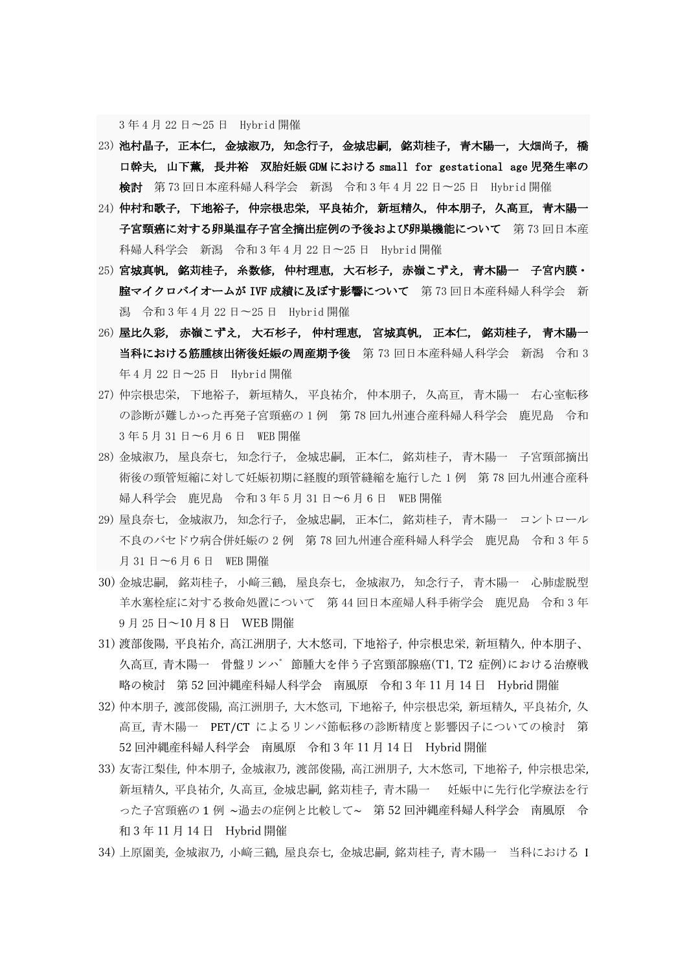3 年 4 月 22 日〜25 日 Hybrid 開催

- 23) 池村晶子, 正本仁, 金城淑乃, 知念行子, 金城忠嗣, 銘苅桂子, 青木陽一, 大畑尚子, 橋 口幹夫, 山下薫, 長井裕 双胎妊娠 GDM における small for gestational age 児発生率の 検討 第 73 回日本産科婦人科学会 新潟 令和 3 年 4 月 22 日〜25 日 Hybrid 開催
- 24) 仲村和歌子, 下地裕子, 仲宗根忠栄, 平良祐介, 新垣精久, 仲本朋子, 久高亘, 青木陽一 子宮頸癌に対する卵巣温存子宮全摘出症例の予後および卵巣機能について 第73回日本産 科婦人科学会 新潟 令和 3 年 4 月 22 日〜25 日 Hybrid 開催
- 25) 宮城真帆, 銘苅桂子, 糸数修, 仲村理恵, 大石杉子, 赤嶺こずえ, 青木陽一 子宮内膜・ 腟マイクロバイオームが IVF 成績に及ぼす影響について 第 73 回日本産科婦人科学会 新 潟 令和 3 年 4 月 22 日〜25 日 Hybrid 開催
- 26) 屋比久彩, 赤嶺こずえ, 大石杉子, 仲村理恵, 宮城真帆, 正本仁, 銘苅桂子, 青木陽一 当科における筋腫核出術後妊娠の周産期予後 第 73 回日本産科婦人科学会 新潟 令和 3 年 4 月 22 日〜25 日 Hybrid 開催
- 27) 仲宗根忠栄, 下地裕子, 新垣精久, 平良祐介, 仲本朋子, 久高亘, 青木陽一 右心室転移 の診断が難しかった再発子宮頸癌の 1 例 第 78 回九州連合産科婦人科学会 鹿児島 令和 3 年 5 月 31 日〜6 月 6 日 WEB 開催
- 28) 金城淑乃, 屋良奈七, 知念行子, 金城忠嗣, 正本仁, 銘苅桂子, 青木陽一 子宮頸部摘出 術後の頸管短縮に対して妊娠初期に経腹的頸管縫縮を施行した 1 例 第 78 回九州連合産科 婦人科学会 鹿児島 令和 3 年 5 月 31 日〜6 月 6 日 WEB 開催
- 29) 屋良奈七, 金城淑乃, 知念行子, 金城忠嗣, 正本仁, 銘苅桂子, 青木陽一 コントロール 不良のバセドウ病合併妊娠の 2 例 第 78 回九州連合産科婦人科学会 鹿児島 令和 3 年 5 月 31 日〜6 月 6 日 WEB 開催
- 30) 金城忠嗣, 銘苅桂子, 小﨑三鶴, 屋良奈七, 金城淑乃, 知念行子, 青木陽一 心肺虚脱型 羊水塞栓症に対する救命処置について 第 44 回日本産婦人科手術学会 鹿児島 令和 3 年 9月25日~10月8日 WEB 開催
- 31) 渡部俊陽, 平良祐介, 高江洲朋子, 大木悠司, 下地裕子, 仲宗根忠栄, 新垣精久, 仲本朋子、 久高亘, 青木陽一 骨盤リンパ 節腫大を伴う子宮頸部腺癌(T1, T2 症例)における治療戦 略の検討 第 52 回沖縄産科婦人科学会 南風原 令和 3 年 11 月 14 日 Hybrid 開催
- 32) 仲本朋子, 渡部俊陽, 高江洲朋子, 大木悠司, 下地裕子, 仲宗根忠栄, 新垣精久, 平良祐介, 久 高亘,青木陽一 PET/CT によるリンパ節転移の診断精度と影響因子についての検討 第 52 回沖縄産科婦人科学会 南風原 令和 3 年 11 月 14 日 Hybrid 開催
- 33) 友寄江梨佳, 仲本朋子, 金城淑乃, 渡部俊陽, 高江洲朋子, 大木悠司, 下地裕子, 仲宗根忠栄, 新垣精久, 平良祐介, 久高亘, 金城忠嗣, 銘苅桂子, 青木陽一 妊娠中に先行化学療法を行 った子宮頸癌の 1 例 ~過去の症例と比較して~ 第 52 回沖縄産科婦⼈科学会 南⾵原 令 和 3 年 11 月 14 日 Hybrid 開催
- 34) 上原園美, 金城淑乃, 小﨑三鶴, 屋良奈七, 金城忠嗣, 銘苅桂子, 青木陽一 当科における I